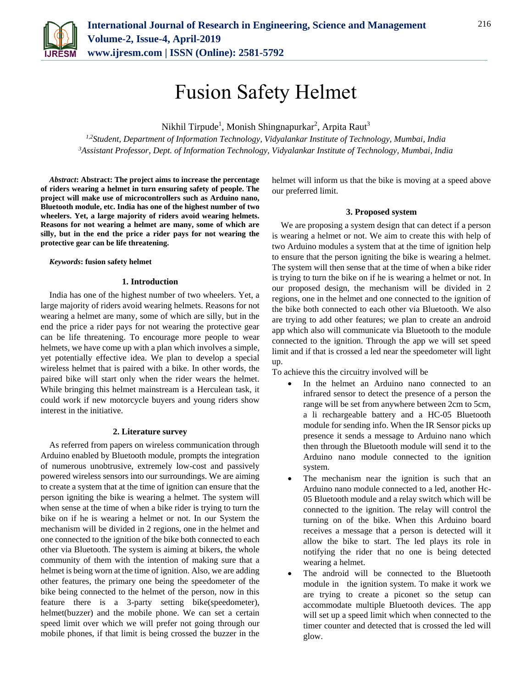

# Fusion Safety Helmet

Nikhil Tirpude<sup>1</sup>, Monish Shingnapurkar<sup>2</sup>, Arpita Raut<sup>3</sup>

*1,2Student, Department of Information Technology, Vidyalankar Institute of Technology, Mumbai, India <sup>3</sup>Assistant Professor, Dept. of Information Technology, Vidyalankar Institute of Technology, Mumbai, India*

*Abstract***: Abstract: The project aims to increase the percentage of riders wearing a helmet in turn ensuring safety of people. The project will make use of microcontrollers such as Arduino nano, Bluetooth module, etc. India has one of the highest number of two wheelers. Yet, a large majority of riders avoid wearing helmets. Reasons for not wearing a helmet are many, some of which are silly, but in the end the price a rider pays for not wearing the protective gear can be life threatening.**

## *Keywords***: fusion safety helmet**

## **1. Introduction**

India has one of the highest number of two wheelers. Yet, a large majority of riders avoid wearing helmets. Reasons for not wearing a helmet are many, some of which are silly, but in the end the price a rider pays for not wearing the protective gear can be life threatening. To encourage more people to wear helmets, we have come up with a plan which involves a simple, yet potentially effective idea. We plan to develop a special wireless helmet that is paired with a bike. In other words, the paired bike will start only when the rider wears the helmet. While bringing this helmet mainstream is a Herculean task, it could work if new motorcycle buyers and young riders show interest in the initiative.

#### **2. Literature survey**

As referred from papers on wireless communication through Arduino enabled by Bluetooth module, prompts the integration of numerous unobtrusive, extremely low-cost and passively powered wireless sensors into our surroundings. We are aiming to create a system that at the time of ignition can ensure that the person igniting the bike is wearing a helmet. The system will when sense at the time of when a bike rider is trying to turn the bike on if he is wearing a helmet or not. In our System the mechanism will be divided in 2 regions, one in the helmet and one connected to the ignition of the bike both connected to each other via Bluetooth. The system is aiming at bikers, the whole community of them with the intention of making sure that a helmet is being worn at the time of ignition. Also, we are adding other features, the primary one being the speedometer of the bike being connected to the helmet of the person, now in this feature there is a 3-party setting bike(speedometer), helmet(buzzer) and the mobile phone. We can set a certain speed limit over which we will prefer not going through our mobile phones, if that limit is being crossed the buzzer in the helmet will inform us that the bike is moving at a speed above our preferred limit.

## **3. Proposed system**

We are proposing a system design that can detect if a person is wearing a helmet or not. We aim to create this with help of two Arduino modules a system that at the time of ignition help to ensure that the person igniting the bike is wearing a helmet. The system will then sense that at the time of when a bike rider is trying to turn the bike on if he is wearing a helmet or not. In our proposed design, the mechanism will be divided in 2 regions, one in the helmet and one connected to the ignition of the bike both connected to each other via Bluetooth. We also are trying to add other features; we plan to create an android app which also will communicate via Bluetooth to the module connected to the ignition. Through the app we will set speed limit and if that is crossed a led near the speedometer will light up.

To achieve this the circuitry involved will be

- In the helmet an Arduino nano connected to an infrared sensor to detect the presence of a person the range will be set from anywhere between 2cm to 5cm, a li rechargeable battery and a HC-05 Bluetooth module for sending info. When the IR Sensor picks up presence it sends a message to Arduino nano which then through the Bluetooth module will send it to the Arduino nano module connected to the ignition system.
- The mechanism near the ignition is such that an Arduino nano module connected to a led, another Hc-05 Bluetooth module and a relay switch which will be connected to the ignition. The relay will control the turning on of the bike. When this Arduino board receives a message that a person is detected will it allow the bike to start. The led plays its role in notifying the rider that no one is being detected wearing a helmet.
- The android will be connected to the Bluetooth module in the ignition system. To make it work we are trying to create a piconet so the setup can accommodate multiple Bluetooth devices. The app will set up a speed limit which when connected to the timer counter and detected that is crossed the led will glow.